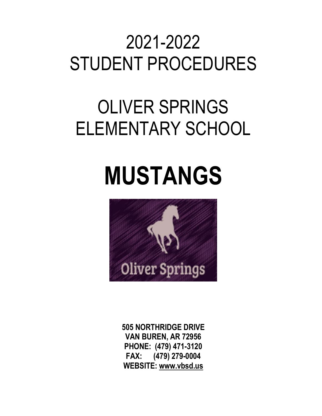# 2021-2022 STUDENT PROCEDURES

# OLIVER SPRINGS ELEMENTARY SCHOOL

# **MUSTANGS**



**505 NORTHRIDGE DRIVE VAN BUREN, AR 72956 PHONE: (479) 471-3120 FAX: (479) 279-0004 WEBSITE: www.vbsd.us**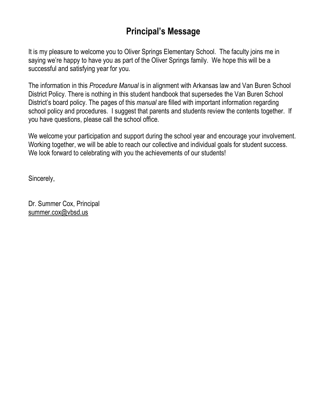## **Principal's Message**

It is my pleasure to welcome you to Oliver Springs Elementary School. The faculty joins me in saying we're happy to have you as part of the Oliver Springs family. We hope this will be a successful and satisfying year for you.

The information in this *Procedure Manual* is in alignment with Arkansas law and Van Buren School District Policy. There is nothing in this student handbook that supersedes the Van Buren School District's board policy. The pages of this *manual* are filled with important information regarding school policy and procedures. I suggest that parents and students review the contents together. If you have questions, please call the school office.

We welcome your participation and support during the school year and encourage your involvement. Working together, we will be able to reach our collective and individual goals for student success. We look forward to celebrating with you the achievements of our students!

Sincerely,

Dr. Summer Cox, Principal summer.cox@vbsd.us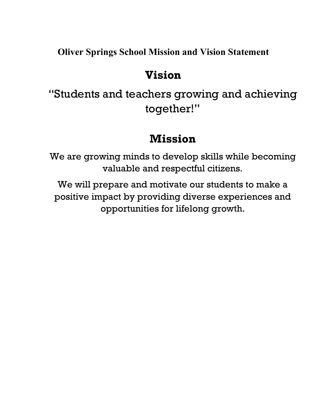**Oliver Springs School Mission and Vision Statement**

# **Vision**

"Students and teachers growing and achieving together!"

## **Mission**

We are growing minds to develop skills while becoming valuable and respectful citizens.

We will prepare and motivate our students to make a positive impact by providing diverse experiences and opportunities for lifelong growth.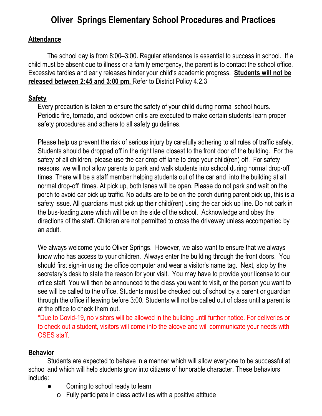## **Oliver Springs Elementary School Procedures and Practices**

#### **Attendance**

The school day is from 8:00–3:00. Regular attendance is essential to success in school. If a child must be absent due to illness or a family emergency, the parent is to contact the school office. Excessive tardies and early releases hinder your child's academic progress. **Students will not be released between 2:45 and 3:00 pm.** Refer to District Policy 4.2.3

#### **Safety**

Every precaution is taken to ensure the safety of your child during normal school hours. Periodic fire, tornado, and lockdown drills are executed to make certain students learn proper safety procedures and adhere to all safety guidelines.

Please help us prevent the risk of serious injury by carefully adhering to all rules of traffic safety. Students should be dropped off in the right lane closest to the front door of the building. For the safety of all children, please use the car drop off lane to drop your child(ren) off. For safety reasons, we will not allow parents to park and walk students into school during normal drop-off times. There will be a staff member helping students out of the car and into the building at all normal drop-off times. At pick up, both lanes will be open. Please do not park and wait on the porch to avoid car pick up traffic. No adults are to be on the porch during parent pick up, this is a safety issue. All guardians must pick up their child(ren) using the car pick up line. Do not park in the bus-loading zone which will be on the side of the school. Acknowledge and obey the directions of the staff. Children are not permitted to cross the driveway unless accompanied by an adult.

We always welcome you to Oliver Springs. However, we also want to ensure that we always know who has access to your children. Always enter the building through the front doors. You should first sign-in using the office computer and wear a visitor's name tag. Next, stop by the secretary's desk to state the reason for your visit. You may have to provide your license to our office staff. You will then be announced to the class you want to visit, or the person you want to see will be called to the office. Students must be checked out of school by a parent or guardian through the office if leaving before 3:00. Students will not be called out of class until a parent is at the office to check them out.

\*Due to Covid-19, no visitors will be allowed in the building until further notice. For deliveries or to check out a student, visitors will come into the alcove and will communicate your needs with OSES staff.

#### **Behavior**

Students are expected to behave in a manner which will allow everyone to be successful at school and which will help students grow into citizens of honorable character. These behaviors include:

- Coming to school ready to learn
	- o Fully participate in class activities with a positive attitude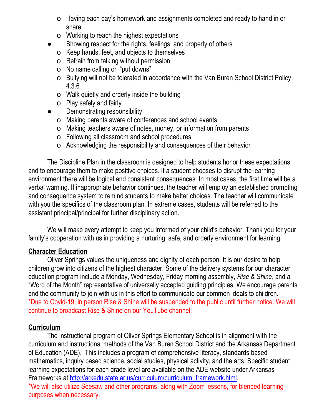- o Having each day's homework and assignments completed and ready to hand in or share
- o Working to reach the highest expectations
- Showing respect for the rights, feelings, and property of others
	- o Keep hands, feet, and objects to themselves
	- o Refrain from talking without permission
	- o No name calling or "put downs"
	- o Bullying will not be tolerated in accordance with the Van Buren School District Policy 4.3.6
	- o Walk quietly and orderly inside the building
	- o Play safely and fairly
	- Demonstrating responsibility
	- o Making parents aware of conferences and school events
	- o Making teachers aware of notes, money, or information from parents
	- o Following all classroom and school procedures
	- o Acknowledging the responsibility and consequences of their behavior

The Discipline Plan in the classroom is designed to help students honor these expectations and to encourage them to make positive choices. If a student chooses to disrupt the learning environment there will be logical and consistent consequences. In most cases, the first time will be a verbal warning. If inappropriate behavior continues, the teacher will employ an established prompting and consequence system to remind students to make better choices. The teacher will communicate with you the specifics of the classroom plan. In extreme cases, students will be referred to the assistant principal/principal for further disciplinary action.

We will make every attempt to keep you informed of your child's behavior. Thank you for your family's cooperation with us in providing a nurturing, safe, and orderly environment for learning.

#### **Character Education**

Oliver Springs values the uniqueness and dignity of each person. It is our desire to help children grow into citizens of the highest character. Some of the delivery systems for our character education program include a Monday, Wednesday, Friday morning assembly, *Rise & Shine*, and a "Word of the Month" representative of universally accepted guiding principles. We encourage parents and the community to join with us in this effort to communicate our common ideals to children. \*Due to Covid-19, in person Rise & Shine will be suspended to the public until further notice. We will continue to broadcast Rise & Shine on our YouTube channel.

#### **Curriculum**

The instructional program of Oliver Springs Elementary School is in alignment with the curriculum and instructional methods of the Van Buren School District and the Arkansas Department of Education (ADE). This includes a program of comprehensive literacy, standards based mathematics, inquiry based science, social studies, physical activity, and the arts. Specific student learning expectations for each grade level are available on the ADE website under Arkansas Frameworks at [http://arkedu.state.ar.us/curriculum/curriculum\\_framework.html.](http://arkedu.state.ar.us/curriculum/curriculum_framework.html) \*We will also utilize Seesaw and other programs, along with Zoom lessons, for blended learning purposes when necessary.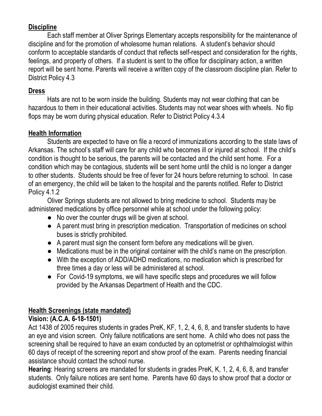#### **Discipline**

Each staff member at Oliver Springs Elementary accepts responsibility for the maintenance of discipline and for the promotion of wholesome human relations. A student's behavior should conform to acceptable standards of conduct that reflects self-respect and consideration for the rights, feelings, and property of others. If a student is sent to the office for disciplinary action, a written report will be sent home. Parents will receive a written copy of the classroom discipline plan. Refer to District Policy 4.3

#### **Dress**

Hats are not to be worn inside the building. Students may not wear clothing that can be hazardous to them in their educational activities. Students may not wear shoes with wheels. No flip flops may be worn during physical education. Refer to District Policy 4.3.4

#### **Health Information**

Students are expected to have on file a record of immunizations according to the state laws of Arkansas. The school's staff will care for any child who becomes ill or injured at school. If the child's condition is thought to be serious, the parents will be contacted and the child sent home. For a condition which may be contagious, students will be sent home until the child is no longer a danger to other students. Students should be free of fever for 24 hours before returning to school. In case of an emergency, the child will be taken to the hospital and the parents notified. Refer to District Policy 4.1.2

Oliver Springs students are not allowed to bring medicine to school. Students may be administered medications by office personnel while at school under the following policy:

- No over the counter drugs will be given at school.
- A parent must bring in prescription medication. Transportation of medicines on school buses is strictly prohibited.
- A parent must sign the consent form before any medications will be given.
- Medications must be in the original container with the child's name on the prescription.
- With the exception of ADD/ADHD medications, no medication which is prescribed for three times a day or less will be administered at school.
- For Covid-19 symptoms, we will have specific steps and procedures we will follow provided by the Arkansas Department of Health and the CDC.

#### **Health Screenings (state mandated)**

#### **Vision: (A.C.A. 6-18-1501)**

Act 1438 of 2005 requires students in grades PreK, KF, 1, 2, 4, 6, 8, and transfer students to have an eye and vision screen. Only failure notifications are sent home. A child who does not pass the screening shall be required to have an exam conducted by an optometrist or ophthalmologist within 60 days of receipt of the screening report and show proof of the exam. Parents needing financial assistance should contact the school nurse.

**Hearing**: Hearing screens are mandated for students in grades PreK, K, 1, 2, 4, 6, 8, and transfer students. Only failure notices are sent home. Parents have 60 days to show proof that a doctor or audiologist examined their child.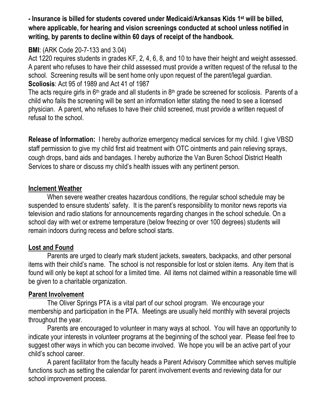**- Insurance is billed for students covered under Medicaid/Arkansas Kids 1st will be billed, where applicable, for hearing and vision screenings conducted at school unless notified in writing, by parents to decline within 60 days of receipt of the handbook.** 

#### **BMI**: (ARK Code 20-7-133 and 3.04)

Act 1220 requires students in grades KF, 2, 4, 6, 8, and 10 to have their height and weight assessed. A parent who refuses to have their child assessed must provide a written request of the refusal to the school. Screening results will be sent home only upon request of the parent/legal guardian. **Scoliosis**: Act 95 of 1989 and Act 41 of 1987

The acts require girls in  $6<sup>th</sup>$  grade and all students in  $8<sup>th</sup>$  grade be screened for scoliosis. Parents of a child who fails the screening will be sent an information letter stating the need to see a licensed physician. A parent, who refuses to have their child screened, must provide a written request of refusal to the school.

**Release of Information:** I hereby authorize emergency medical services for my child. I give VBSD staff permission to give my child first aid treatment with OTC ointments and pain relieving sprays, cough drops, band aids and bandages. I hereby authorize the Van Buren School District Health Services to share or discuss my child's health issues with any pertinent person.

#### **Inclement Weather**

When severe weather creates hazardous conditions, the regular school schedule may be suspended to ensure students' safety. It is the parent's responsibility to monitor news reports via television and radio stations for announcements regarding changes in the school schedule. On a school day with wet or extreme temperature (below freezing or over 100 degrees) students will remain indoors during recess and before school starts.

#### **Lost and Found**

Parents are urged to clearly mark student jackets, sweaters, backpacks, and other personal items with their child's name. The school is not responsible for lost or stolen items. Any item that is found will only be kept at school for a limited time. All items not claimed within a reasonable time will be given to a charitable organization.

#### **Parent Involvement**

The Oliver Springs PTA is a vital part of our school program. We encourage your membership and participation in the PTA. Meetings are usually held monthly with several projects throughout the year.

Parents are encouraged to volunteer in many ways at school. You will have an opportunity to indicate your interests in volunteer programs at the beginning of the school year. Please feel free to suggest other ways in which you can become involved. We hope you will be an active part of your child's school career.

A parent facilitator from the faculty heads a Parent Advisory Committee which serves multiple functions such as setting the calendar for parent involvement events and reviewing data for our school improvement process.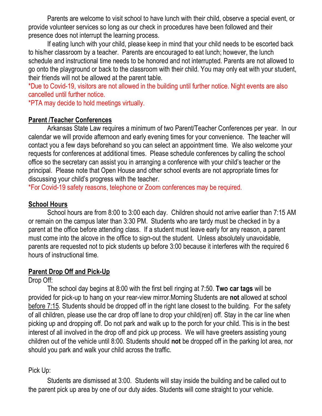Parents are welcome to visit school to have lunch with their child, observe a special event, or provide volunteer services so long as our check in procedures have been followed and their presence does not interrupt the learning process.

If eating lunch with your child, please keep in mind that your child needs to be escorted back to his/her classroom by a teacher. Parents are encouraged to eat lunch; however, the lunch schedule and instructional time needs to be honored and not interrupted. Parents are not allowed to go onto the playground or back to the classroom with their child. You may only eat with your student, their friends will not be allowed at the parent table.

\*Due to Covid-19, visitors are not allowed in the building until further notice. Night events are also cancelled until further notice.

\*PTA may decide to hold meetings virtually.

#### **Parent /Teacher Conferences**

Arkansas State Law requires a minimum of two Parent/Teacher Conferences per year. In our calendar we will provide afternoon and early evening times for your convenience. The teacher will contact you a few days beforehand so you can select an appointment time. We also welcome your requests for conferences at additional times. Please schedule conferences by calling the school office so the secretary can assist you in arranging a conference with your child's teacher or the principal. Please note that Open House and other school events are not appropriate times for discussing your child's progress with the teacher.

\*For Covid-19 safety reasons, telephone or Zoom conferences may be required.

#### **School Hours**

School hours are from 8:00 to 3:00 each day. Children should not arrive earlier than 7:15 AM or remain on the campus later than 3:30 PM. Students who are tardy must be checked in by a parent at the office before attending class. If a student must leave early for any reason, a parent must come into the alcove in the office to sign-out the student. Unless absolutely unavoidable, parents are requested not to pick students up before 3:00 because it interferes with the required 6 hours of instructional time.

#### **Parent Drop Off and Pick-Up**

Drop Off:

The school day begins at 8:00 with the first bell ringing at 7:50. **Two car tags** will be provided for pick-up to hang on your rear-view mirror.Morning Students are **not** allowed at school before 7:15. Students should be dropped off in the right lane closest to the building. For the safety of all children, please use the car drop off lane to drop your child(ren) off. Stay in the car line when picking up and dropping off. Do not park and walk up to the porch for your child. This is in the best interest of all involved in the drop off and pick up process. We will have greeters assisting young children out of the vehicle until 8:00. Students should **not** be dropped off in the parking lot area, nor should you park and walk your child across the traffic.

#### Pick Up:

Students are dismissed at 3:00. Students will stay inside the building and be called out to the parent pick up area by one of our duty aides. Students will come straight to your vehicle.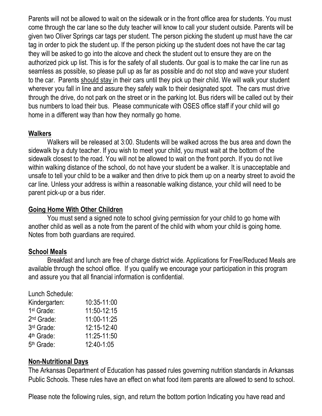Parents will not be allowed to wait on the sidewalk or in the front office area for students. You must come through the car lane so the duty teacher will know to call your student outside. Parents will be given two Oliver Springs car tags per student. The person picking the student up must have the car tag in order to pick the student up. If the person picking up the student does not have the car tag they will be asked to go into the alcove and check the student out to ensure they are on the authorized pick up list. This is for the safety of all students. Our goal is to make the car line run as seamless as possible, so please pull up as far as possible and do not stop and wave your student to the car. Parents should stay in their cars until they pick up their child. We will walk your student wherever you fall in line and assure they safely walk to their designated spot. The cars must drive through the drive, do not park on the street or in the parking lot. Bus riders will be called out by their bus numbers to load their bus. Please communicate with OSES office staff if your child will go home in a different way than how they normally go home.

#### **Walkers**

Walkers will be released at 3:00. Students will be walked across the bus area and down the sidewalk by a duty teacher. If you wish to meet your child, you must wait at the bottom of the sidewalk closest to the road. You will not be allowed to wait on the front porch. If you do not live within walking distance of the school, do not have your student be a walker. It is unacceptable and unsafe to tell your child to be a walker and then drive to pick them up on a nearby street to avoid the car line. Unless your address is within a reasonable walking distance, your child will need to be parent pick-up or a bus rider.

#### **Going Home With Other Children**

You must send a signed note to school giving permission for your child to go home with another child as well as a note from the parent of the child with whom your child is going home. Notes from both guardians are required.

#### **School Meals**

Breakfast and lunch are free of charge district wide. Applications for Free/Reduced Meals are available through the school office. If you qualify we encourage your participation in this program and assure you that all financial information is confidential.

Lunch Schedule:  $Kindaraxtan: 10:35-11:00$ 

| 10.00 <sup>-</sup> 11.00 |
|--------------------------|
| 11:50-12:15              |
| 11:00-11:25              |
| 12:15-12:40              |
| 11:25-11:50              |
| 12:40-1:05               |
|                          |

#### **Non-Nutritional Days**

The Arkansas Department of Education has passed rules governing nutrition standards in Arkansas Public Schools. These rules have an effect on what food item parents are allowed to send to school.

Please note the following rules, sign, and return the bottom portion Indicating you have read and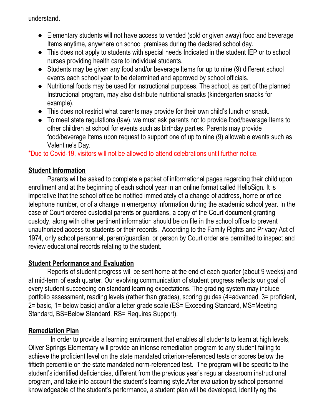understand.

- Elementary students will not have access to vended (sold or given away) food and beverage Items anytime, anywhere on school premises during the declared school day.
- This does not apply to students with special needs Indicated in the student IEP or to school nurses providing health care to individual students.
- Students may be given any food and/or beverage Items for up to nine (9) different school events each school year to be determined and approved by school officials.
- Nutritional foods may be used for instructional purposes. The school, as part of the planned Instructional program, may also distribute nutritional snacks (kindergarten snacks for example).
- This does not restrict what parents may provide for their own child's lunch or snack.
- To meet state regulations (law), we must ask parents not to provide food/beverage Items to other children at school for events such as birthday parties. Parents may provide food/beverage Items upon request to support one of up to nine (9) allowable events such as Valentine's Day.

\*Due to Covid-19, visitors will not be allowed to attend celebrations until further notice.

#### **Student Information**

Parents will be asked to complete a packet of informational pages regarding their child upon enrollment and at the beginning of each school year in an online format called HelloSign. It is imperative that the school office be notified immediately of a change of address, home or office telephone number, or of a change in emergency information during the academic school year. In the case of Court ordered custodial parents or guardians, a copy of the Court document granting custody, along with other pertinent information should be on file in the school office to prevent unauthorized access to students or their records. According to the Family Rights and Privacy Act of 1974, only school personnel, parent/guardian, or person by Court order are permitted to inspect and review educational records relating to the student.

#### **Student Performance and Evaluation**

Reports of student progress will be sent home at the end of each quarter (about 9 weeks) and at mid-term of each quarter. Our evolving communication of student progress reflects our goal of every student succeeding on standard learning expectations. The grading system may include portfolio assessment, reading levels (rather than grades), scoring guides (4=advanced, 3= proficient, 2= basic, 1= below basic) and/or a letter grade scale (ES= Exceeding Standard, MS=Meeting Standard, BS=Below Standard, RS= Requires Support).

#### **Remediation Plan**

 In order to provide a learning environment that enables all students to learn at high levels, Oliver Springs Elementary will provide an intense remediation program to any student failing to achieve the proficient level on the state mandated criterion-referenced tests or scores below the fiftieth percentile on the state mandated norm-referenced test. The program will be specific to the student's identified deficiencies, different from the previous year's regular classroom instructional program, and take into account the student's learning style.After evaluation by school personnel knowledgeable of the student's performance, a student plan will be developed, identifying the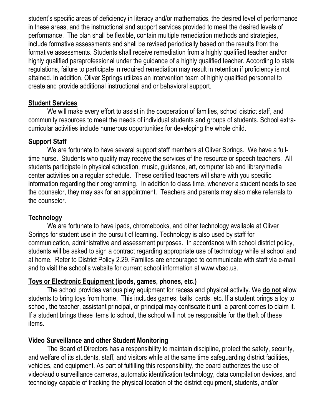student's specific areas of deficiency in literacy and/or mathematics, the desired level of performance in these areas, and the instructional and support services provided to meet the desired levels of performance. The plan shall be flexible, contain multiple remediation methods and strategies, include formative assessments and shall be revised periodically based on the results from the formative assessments. Students shall receive remediation from a highly qualified teacher and/or highly qualified paraprofessional under the guidance of a highly qualified teacher. According to state regulations, failure to participate in required remediation may result in retention if proficiency is not attained. In addition, Oliver Springs utilizes an intervention team of highly qualified personnel to create and provide additional instructional and or behavioral support.

#### **Student Services**

We will make every effort to assist in the cooperation of families, school district staff, and community resources to meet the needs of individual students and groups of students. School extracurricular activities include numerous opportunities for developing the whole child.

#### **Support Staff**

We are fortunate to have several support staff members at Oliver Springs. We have a fulltime nurse. Students who qualify may receive the services of the resource or speech teachers. All students participate in physical education, music, guidance, art, computer lab and library/media center activities on a regular schedule. These certified teachers will share with you specific information regarding their programming. In addition to class time, whenever a student needs to see the counselor, they may ask for an appointment. Teachers and parents may also make referrals to the counselor.

#### **Technology**

We are fortunate to have ipads, chromebooks, and other technology available at Oliver Springs for student use in the pursuit of learning. Technology is also used by staff for communication, administrative and assessment purposes. In accordance with school district policy, students will be asked to sign a contract regarding appropriate use of technology while at school and at home. Refer to District Policy 2.29. Families are encouraged to communicate with staff via e-mail and to visit the school's website for current school information at www.vbsd.us.

#### **Toys or Electronic Equipment (ipods, games, phones, etc.)**

The school provides various play equipment for recess and physical activity. We **do not** allow students to bring toys from home. This includes games, balls, cards, etc. If a student brings a toy to school, the teacher, assistant principal, or principal may confiscate it until a parent comes to claim it. If a student brings these items to school, the school will not be responsible for the theft of these items.

#### **Video Surveillance and other Student Monitoring**

The Board of Directors has a responsibility to maintain discipline, protect the safety, security, and welfare of its students, staff, and visitors while at the same time safeguarding district facilities, vehicles, and equipment. As part of fulfilling this responsibility, the board authorizes the use of video/audio surveillance cameras, automatic identification technology, data compilation devices, and technology capable of tracking the physical location of the district equipment, students, and/or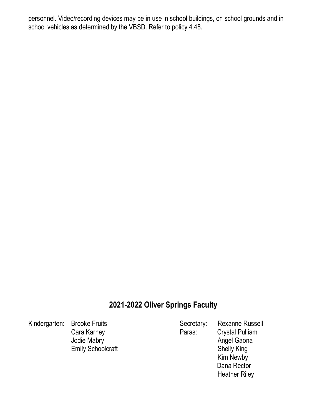personnel. Video/recording devices may be in use in school buildings, on school grounds and in school vehicles as determined by the VBSD. Refer to policy 4.48.

#### **2021-2022 Oliver Springs Faculty**

Kindergarten: Brooke Fruits Secretary: Rexanne Russell Cara Karney **Paras:** Crystal Pulliam Jodie Mabry **Angel Gaona** Angel Gaona Emily Schoolcraft **Shelly King** 

 Kim Newby Dana Rector Heather Riley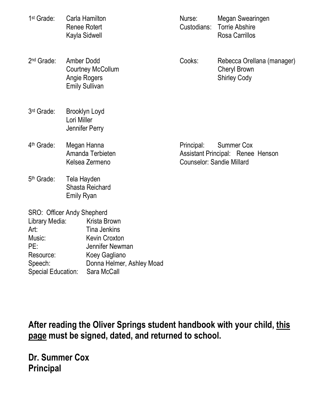| 1 <sup>st</sup> Grade:                                                                                                     | Carla Hamilton<br><b>Renee Rotert</b><br>Kayla Sidwell                                 |                                                                                                                                             | Nurse:<br>Custodians:                          | Megan Swearingen<br><b>Torrie Abshire</b><br><b>Rosa Carrillos</b>       |
|----------------------------------------------------------------------------------------------------------------------------|----------------------------------------------------------------------------------------|---------------------------------------------------------------------------------------------------------------------------------------------|------------------------------------------------|--------------------------------------------------------------------------|
| 2 <sup>nd</sup> Grade:                                                                                                     | <b>Amber Dodd</b><br><b>Courtney McCollum</b><br>Angie Rogers<br><b>Emily Sullivan</b> |                                                                                                                                             | Cooks:                                         | Rebecca Orellana (manager)<br><b>Cheryl Brown</b><br><b>Shirley Cody</b> |
| 3rd Grade:                                                                                                                 | Lori Miller                                                                            | Brooklyn Loyd<br>Jennifer Perry                                                                                                             |                                                |                                                                          |
| 4 <sup>th</sup> Grade:                                                                                                     | Megan Hanna<br>Amanda Terbieten<br>Kelsea Zermeno                                      |                                                                                                                                             | Principal:<br><b>Counselor: Sandie Millard</b> | <b>Summer Cox</b><br>Assistant Principal: Renee Henson                   |
| 5 <sup>th</sup> Grade:                                                                                                     | Tela Hayden<br><b>Emily Ryan</b>                                                       | <b>Shasta Reichard</b>                                                                                                                      |                                                |                                                                          |
| <b>SRO: Officer Andy Shepherd</b><br>Library Media:<br>Art:<br>Music:<br>PE:<br>Resource:<br>Speech:<br>Special Education: |                                                                                        | Krista Brown<br><b>Tina Jenkins</b><br><b>Kevin Croxton</b><br>Jennifer Newman<br>Koey Gagliano<br>Donna Helmer, Ashley Moad<br>Sara McCall |                                                |                                                                          |

**After reading the Oliver Springs student handbook with your child, this page must be signed, dated, and returned to school.**

**Dr. Summer Cox Principal**